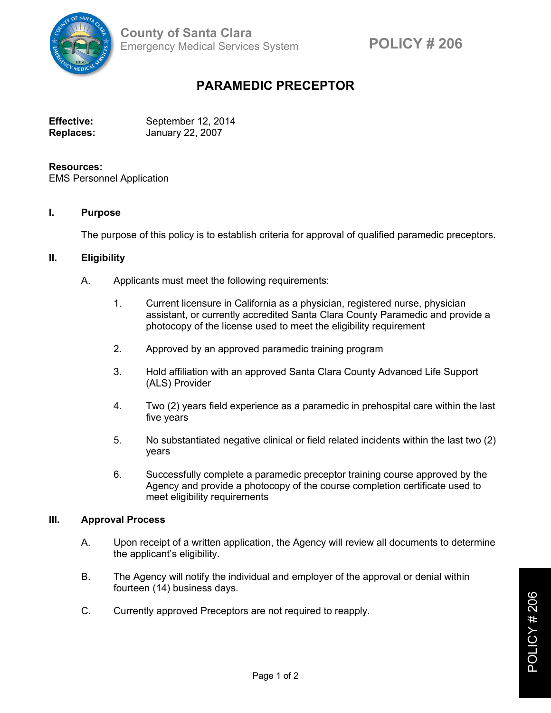

# **PARAMEDIC PRECEPTOR**

| <b>Effective:</b> | September 12, 2014 |
|-------------------|--------------------|
| <b>Replaces:</b>  | January 22, 2007   |

#### **Resources:**

EMS Personnel Application

#### **I. Purpose**

The purpose of this policy is to establish criteria for approval of qualified paramedic preceptors.

## **II. Eligibility**

- A. Applicants must meet the following requirements:
	- 1. Current licensure in California as a physician, registered nurse, physician assistant, or currently accredited Santa Clara County Paramedic and provide a photocopy of the license used to meet the eligibility requirement
	- 2. Approved by an approved paramedic training program
	- 3. Hold affiliation with an approved Santa Clara County Advanced Life Support (ALS) Provider
	- 4. Two (2) years field experience as a paramedic in prehospital care within the last five years
	- 5. No substantiated negative clinical or field related incidents within the last two (2) years
	- 6. Successfully complete a paramedic preceptor training course approved by the Agency and provide a photocopy of the course completion certificate used to meet eligibility requirements

## **III. Approval Process**

- A. Upon receipt of a written application, the Agency will review all documents to determine the applicant's eligibility.
- B. The Agency will notify the individual and employer of the approval or denial within fourteen (14) business days.
- C. Currently approved Preceptors are not required to reapply.